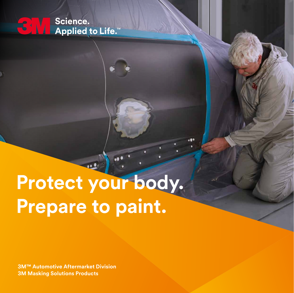Science.  $\mathbf{C}$ Applied to Life.™

# **Protect your body. Prepare to paint.**

 $\bullet$ 

**3M™ Automotive Aftermarket Division 3M Masking Solutions Products**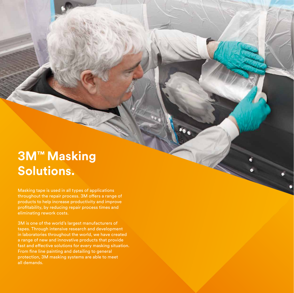## **3M™ Masking Solutions.**

Masking tape is used in all types of applications throughout the repair process. 3M offers a range of products to help increase productivity and improve profitability, by reducing repair process times and eliminating rework costs.

3M is one of the world's largest manufacturers of tapes. Through intensive research and development in laboratories throughout the world, we have created a range of new and innovative products that provide fast and effective solutions for every masking situation. From fine line painting and detailing to general protection, 3M masking systems are able to meet all demands.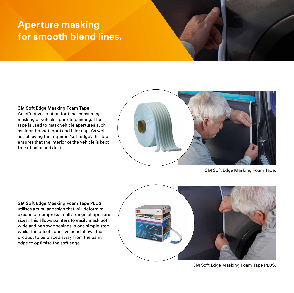### **Aperture masking for smooth blend lines.**

#### **3M Soft Edge Masking Foam Tape**

An effective solution for time-consuming masking of vehicles prior to painting. The tape is used to mask vehicle apertures such as door, bonnet, boot and filler cap. As well as achieving the required 'soft edge', this tape ensures that the interior of the vehicle is kept free of paint and dust.



3M Soft Edge Masking Foam Tape.

**3M Soft Edge Masking Foam Tape PLUS**  utilises a tubular design that will deform to expand or compress to fill a range of aperture sizes. This allows painters to easily mask both wide and narrow openings in one simple step, whilst the offset adhesive bead allows the product to be placed away from the paint edge to optimise the soft edge.



3M Soft Edge Masking Foam Tape PLUS.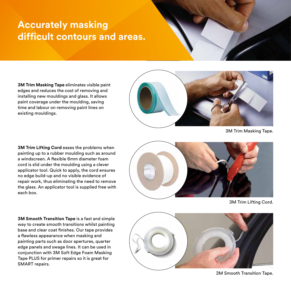### **Accurately masking difficult contours and areas.**

**3M Trim Masking Tape** eliminates visible paint edges and reduces the cost of removing and installing new mouldings and glass. It allows paint coverage under the moulding, saving time and labour on removing paint lines on existing mouldings.



3M Trim Masking Tape.

**3M Trim Lifting Cord eases the problems when** painting up to a rubber moulding such as around a windscreen. A flexible 6mm diameter foam cord is slid under the moulding using a clever applicator tool. Quick to apply, the cord ensures no edge build-up and no visible evidence of repair work, thus eliminating the need to remove the glass. An applicator tool is supplied free with each box.



3M Trim Lifting Cord.

**3M Smooth Transition Tape** is a fast and simple way to create smooth transitions whilst painting base and clear coat finishes. Our tape provides a flawless appearance when masking and painting parts such as door apertures, quarter edge panels and swage lines. It can be used in conjunction with 3M Soft Edge Foam Masking Tape PLUS for primer repairs so it is great for SMART repairs.



3M Smooth Transition Tape.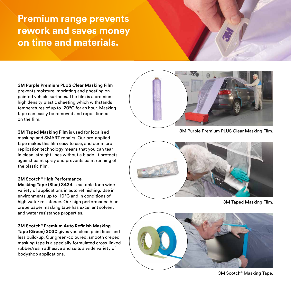### **Premium range prevents rework and saves money on time and materials.**

**3M Purple Premium PLUS Clear Masking Film**  prevents moisture imprinting and ghosting on painted vehicle surfaces. The film is a premium high density plastic sheeting which withstands temperatures of up to 120°C for an hour. Masking tape can easily be removed and repositioned on the film.

**3M Taped Masking Film** is used for localised masking and SMART repairs. Our pre-applied tape makes this film easy to use, and our micro replication technology means that you can tear in clean, straight lines without a blade. It protects against paint spray and prevents paint running off the plastic film.

#### **3M Scotch® High Performance**

**Masking Tape (Blue) 3434** is suitable for a wide variety of applications in auto refinishing. Use in environments up to  $110^{\circ}$ C and in conditions of high water resistance. Our high performance blue crepe paper masking tape has excellent solvent and water resistance properties.

**3M Scotch® Premium Auto Refinish Masking** 

**Tape (Green) 3030** gives you clean paint lines and less build-up. Our green-coloured, smooth creped masking tape is a specially formulated cross-linked rubber/resin adhesive and suits a wide variety of bodyshop applications.



3M Purple Premium PLUS Clear Masking Film.



3M Taped Masking Film.



3M Scotch® Masking Tape.